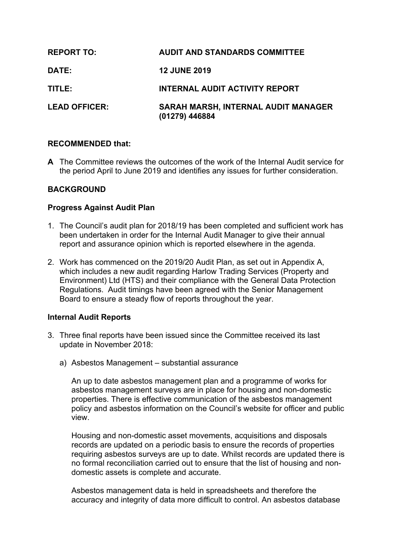| <b>REPORT TO:</b>    | <b>AUDIT AND STANDARDS COMMITTEE</b>                         |
|----------------------|--------------------------------------------------------------|
| <b>DATE:</b>         | <b>12 JUNE 2019</b>                                          |
| TITLE:               | <b>INTERNAL AUDIT ACTIVITY REPORT</b>                        |
| <b>LEAD OFFICER:</b> | <b>SARAH MARSH, INTERNAL AUDIT MANAGER</b><br>(01279) 446884 |

#### **RECOMMENDED that:**

**A** The Committee reviews the outcomes of the work of the Internal Audit service for the period April to June 2019 and identifies any issues for further consideration.

### **BACKGROUND**

#### **Progress Against Audit Plan**

- 1. The Council's audit plan for 2018/19 has been completed and sufficient work has been undertaken in order for the Internal Audit Manager to give their annual report and assurance opinion which is reported elsewhere in the agenda.
- 2. Work has commenced on the 2019/20 Audit Plan, as set out in Appendix A, which includes a new audit regarding Harlow Trading Services (Property and Environment) Ltd (HTS) and their compliance with the General Data Protection Regulations. Audit timings have been agreed with the Senior Management Board to ensure a steady flow of reports throughout the year.

#### **Internal Audit Reports**

- 3. Three final reports have been issued since the Committee received its last update in November 2018:
	- a) Asbestos Management substantial assurance

An up to date asbestos management plan and a programme of works for asbestos management surveys are in place for housing and non-domestic properties. There is effective communication of the asbestos management policy and asbestos information on the Council's website for officer and public view.

Housing and non-domestic asset movements, acquisitions and disposals records are updated on a periodic basis to ensure the records of properties requiring asbestos surveys are up to date. Whilst records are updated there is no formal reconciliation carried out to ensure that the list of housing and nondomestic assets is complete and accurate.

Asbestos management data is held in spreadsheets and therefore the accuracy and integrity of data more difficult to control. An asbestos database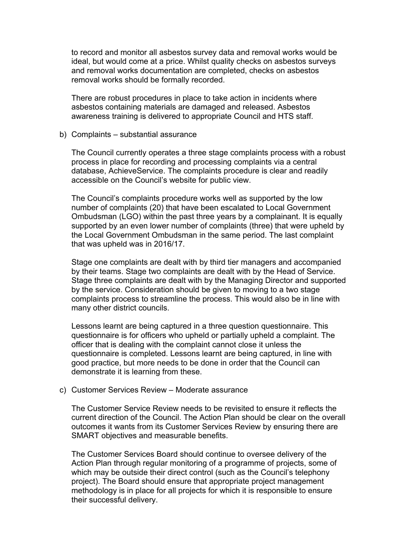to record and monitor all asbestos survey data and removal works would be ideal, but would come at a price. Whilst quality checks on asbestos surveys and removal works documentation are completed, checks on asbestos removal works should be formally recorded.

There are robust procedures in place to take action in incidents where asbestos containing materials are damaged and released. Asbestos awareness training is delivered to appropriate Council and HTS staff.

#### b) Complaints – substantial assurance

The Council currently operates a three stage complaints process with a robust process in place for recording and processing complaints via a central database, AchieveService. The complaints procedure is clear and readily accessible on the Council's website for public view.

The Council's complaints procedure works well as supported by the low number of complaints (20) that have been escalated to Local Government Ombudsman (LGO) within the past three years by a complainant. It is equally supported by an even lower number of complaints (three) that were upheld by the Local Government Ombudsman in the same period. The last complaint that was upheld was in 2016/17.

Stage one complaints are dealt with by third tier managers and accompanied by their teams. Stage two complaints are dealt with by the Head of Service. Stage three complaints are dealt with by the Managing Director and supported by the service. Consideration should be given to moving to a two stage complaints process to streamline the process. This would also be in line with many other district councils.

Lessons learnt are being captured in a three question questionnaire. This questionnaire is for officers who upheld or partially upheld a complaint. The officer that is dealing with the complaint cannot close it unless the questionnaire is completed. Lessons learnt are being captured, in line with good practice, but more needs to be done in order that the Council can demonstrate it is learning from these.

#### c) Customer Services Review – Moderate assurance

The Customer Service Review needs to be revisited to ensure it reflects the current direction of the Council. The Action Plan should be clear on the overall outcomes it wants from its Customer Services Review by ensuring there are SMART objectives and measurable benefits.

The Customer Services Board should continue to oversee delivery of the Action Plan through regular monitoring of a programme of projects, some of which may be outside their direct control (such as the Council's telephony project). The Board should ensure that appropriate project management methodology is in place for all projects for which it is responsible to ensure their successful delivery.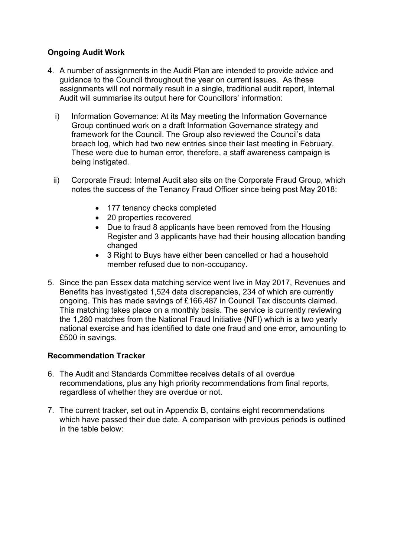## **Ongoing Audit Work**

- 4. A number of assignments in the Audit Plan are intended to provide advice and guidance to the Council throughout the year on current issues. As these assignments will not normally result in a single, traditional audit report, Internal Audit will summarise its output here for Councillors' information:
	- i) Information Governance: At its May meeting the Information Governance Group continued work on a draft Information Governance strategy and framework for the Council. The Group also reviewed the Council's data breach log, which had two new entries since their last meeting in February. These were due to human error, therefore, a staff awareness campaign is being instigated.
	- ii) Corporate Fraud: Internal Audit also sits on the Corporate Fraud Group, which notes the success of the Tenancy Fraud Officer since being post May 2018:
		- 177 tenancy checks completed
		- 20 properties recovered
		- Due to fraud 8 applicants have been removed from the Housing Register and 3 applicants have had their housing allocation banding changed
		- 3 Right to Buys have either been cancelled or had a household member refused due to non-occupancy.
- 5. Since the pan Essex data matching service went live in May 2017, Revenues and Benefits has investigated 1,524 data discrepancies, 234 of which are currently ongoing. This has made savings of £166,487 in Council Tax discounts claimed. This matching takes place on a monthly basis. The service is currently reviewing the 1,280 matches from the National Fraud Initiative (NFI) which is a two yearly national exercise and has identified to date one fraud and one error, amounting to £500 in savings.

## **Recommendation Tracker**

- 6. The Audit and Standards Committee receives details of all overdue recommendations, plus any high priority recommendations from final reports, regardless of whether they are overdue or not.
- 7. The current tracker, set out in Appendix B, contains eight recommendations which have passed their due date. A comparison with previous periods is outlined in the table below: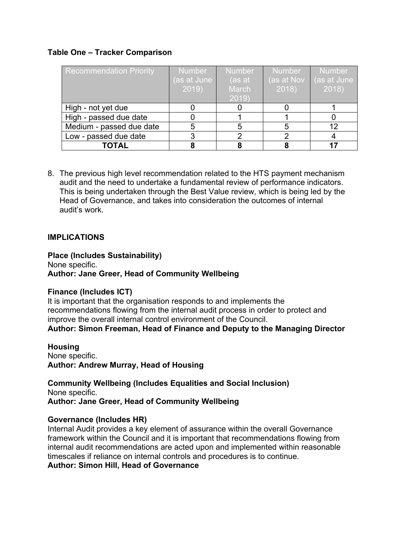## **Table One – Tracker Comparison**

| <b>Recommendation Priority</b> | <b>Number</b><br>(as at June<br>2019 | <b>Number</b><br>(as at<br>March<br>2019 | <b>Number</b><br>(as at Nov<br>2018 | Number<br>(as at June<br>2018 |
|--------------------------------|--------------------------------------|------------------------------------------|-------------------------------------|-------------------------------|
| High - not yet due             |                                      |                                          |                                     |                               |
| High - passed due date         |                                      |                                          |                                     |                               |
| Medium - passed due date       |                                      |                                          |                                     | 12                            |
| Low - passed due date          |                                      |                                          |                                     |                               |
| <b>TOTAL</b>                   |                                      |                                          |                                     |                               |

8. The previous high level recommendation related to the HTS payment mechanism audit and the need to undertake a fundamental review of performance indicators. This is being undertaken through the Best Value review, which is being led by the Head of Governance, and takes into consideration the outcomes of internal audit's work.

### **IMPLICATIONS**

**Place (Includes Sustainability)** None specific. **Author: Jane Greer, Head of Community Wellbeing**

#### **Finance (Includes ICT)**

It is important that the organisation responds to and implements the recommendations flowing from the internal audit process in order to protect and improve the overall internal control environment of the Council. **Author: Simon Freeman, Head of Finance and Deputy to the Managing Director**

**Housing** None specific. **Author: Andrew Murray, Head of Housing**

**Community Wellbeing (Includes Equalities and Social Inclusion)** None specific. **Author: Jane Greer, Head of Community Wellbeing**

#### **Governance (Includes HR)**

Internal Audit provides a key element of assurance within the overall Governance framework within the Council and it is important that recommendations flowing from internal audit recommendations are acted upon and implemented within reasonable timescales if reliance on internal controls and procedures is to continue. **Author: Simon Hill, Head of Governance**